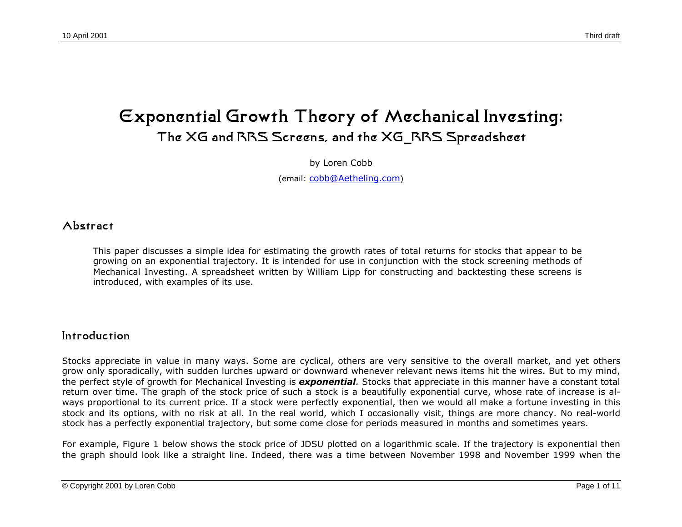# **Exponential Growth Theory of Mechanical Investing: The XG and RRS Screens, and the XG\_RRS Spreadsheet**

by Loren Cobb

(email: [cobb@Aetheling.com](mailto: cobb@Aetheling.com))

#### **Abstract**

This paper discusses a simple idea for estimating the growth rates of total returns for stocks that appear to be growing on an exponential trajectory. It is intended for use in conjunction with the stock screening methods of Mechanical Investing. A spreadsheet written by William Lipp for constructing and backtesting these screens is introduced, with examples of its use.

#### **Introduction**

Stocks appreciate in value in many ways. Some are cyclical, others are very sensitive to the overall market, and yet others grow only sporadically, with sudden lurches upward or downward whenever relevant news items hit the wires. But to my mind, the perfect style of growth for Mechanical Investing is *exponential.* Stocks that appreciate in this manner have a constant total return over time. The graph of the stock price of such a stock is a beautifully exponential curve, whose rate of increase is always proportional to its current price. If a stock were perfectly exponential, then we would all make a fortune investing in this stock and its options, with no risk at all. In the real world, which I occasionally visit, things are more chancy. No real-world stock has a perfectly exponential trajectory, but some come close for periods measured in months and sometimes years.

For example, Figure 1 below shows the stock price of JDSU plotted on a logarithmic scale. If the trajectory is exponential then the graph should look like a straight line. Indeed, there was a time between November 1998 and November 1999 when the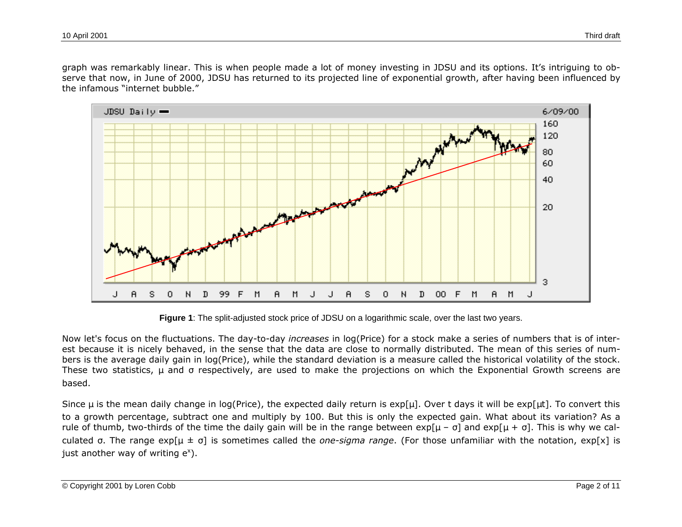graph was remarkably linear. This is when people made a lot of money investing in JDSU and its options. It's intriguing to observe that now, in June of 2000, JDSU has returned to its projected line of exponential growth, after having been influenced by the infamous "internet bubble."



**Figure 1**: The split-adjusted stock price of JDSU on a logarithmic scale, over the last two years.

Now let's focus on the fluctuations. The day-to-day *increases* in log(Price) for a stock make a series of numbers that is of interest because it is nicely behaved, in the sense that the data are close to normally distributed. The mean of this series of numbers is the average daily gain in log(Price), while the standard deviation is a measure called the historical volatility of the stock. These two statistics, μ and respectively, are used to make the projections on which the Exponential Growth screens are based.

Since  $\mu$  is the mean daily change in log(Price), the expected daily return is exp[ $\mu$ ]. Over t days it will be exp[ $\mu$ t]. To convert this to a growth percentage, subtract one and multiply by 100. But this is only the expected gain. What about its variation? As a rule of thumb, two-thirds of the time the daily gain will be in the range between  $exp[\mu - \lambda]$  and  $exp[\mu + \lambda]$ . This is why we calculated . The range exp[μ ± ] is sometimes called the *one-sigma range*. (For those unfamiliar with the notation, exp[x] is just another way of writing  $e^x$ ).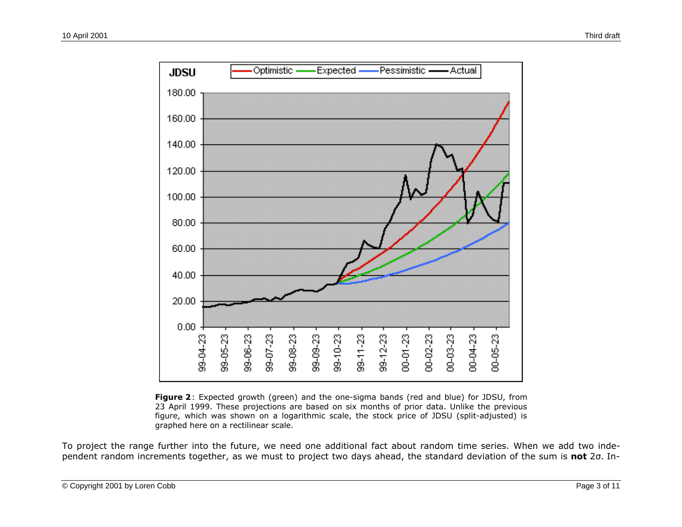

**Figure 2**: Expected growth (green) and the one-sigma bands (red and blue) for JDSU, from 23 April 1999. These projections are based on six months of prior data. Unlike the previous figure, which was shown on a logarithmic scale, the stock price of JDSU (split-adjusted) is graphed here on a rectilinear scale.

To project the range further into the future, we need one additional fact about random time series. When we add two independent random increments together, as we must to project two days ahead, the standard deviation of the sum is **not** 2 . In-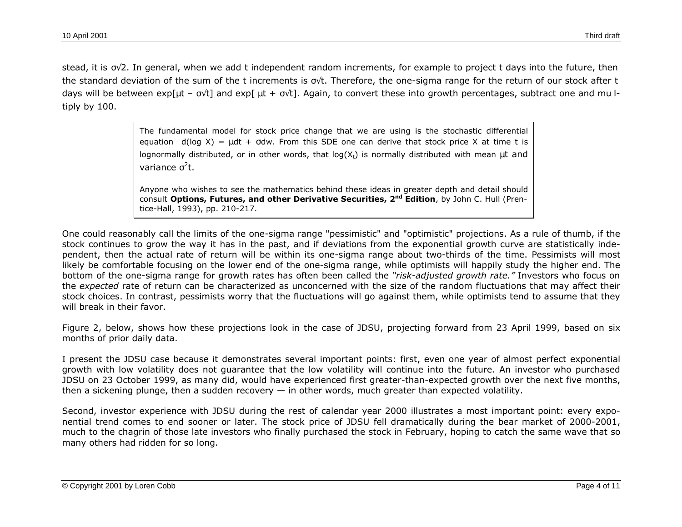stead, it is  $\sim$  2. In general, when we add t independent random increments, for example to project t days into the future, then the standard deviation of the sum of the t increments is t. Therefore, the one-sigma range for the return of our stock after t days will be between exp[ $\mu$ t –  $\tau$ ] and exp[ $\mu$ t +  $\tau$ ]. Again, to convert these into growth percentages, subtract one and mu ltiply by 100.

> The fundamental model for stock price change that we are using is the stochastic differential equation  $d(log X) = \mu dt + dw$ . From this SDE one can derive that stock price X at time t is lognormally distributed, or in other words, that  $log(X_t)$  is normally distributed with mean  $\mu t$  and variance <sup>2</sup>t.

> Anyone who wishes to see the mathematics behind these ideas in greater depth and detail should consult **Options, Futures, and other Derivative Securities, 2nd Edition**, by John C. Hull (Prentice-Hall, 1993), pp. 210-217.

One could reasonably call the limits of the one-sigma range "pessimistic" and "optimistic" projections. As a rule of thumb, if the stock continues to grow the way it has in the past, and if deviations from the exponential growth curve are statistically independent, then the actual rate of return will be within its one-sigma range about two-thirds of the time. Pessimists will most likely be comfortable focusing on the lower end of the one-sigma range, while optimists will happily study the higher end. The bottom of the one-sigma range for growth rates has often been called the *"risk-adjusted growth rate."* Investors who focus on the *expected* rate of return can be characterized as unconcerned with the size of the random fluctuations that may affect their stock choices. In contrast, pessimists worry that the fluctuations will go against them, while optimists tend to assume that they will break in their favor.

Figure 2, below, shows how these projections look in the case of JDSU, projecting forward from 23 April 1999, based on six months of prior daily data.

I present the JDSU case because it demonstrates several important points: first, even one year of almost perfect exponential growth with low volatility does not guarantee that the low volatility will continue into the future. An investor who purchased JDSU on 23 October 1999, as many did, would have experienced first greater-than-expected growth over the next five months, then a sickening plunge, then a sudden recovery  $-$  in other words, much greater than expected volatility.

Second, investor experience with JDSU during the rest of calendar year 2000 illustrates a most important point: every exponential trend comes to end sooner or later. The stock price of JDSU fell dramatically during the bear market of 2000-2001, much to the chagrin of those late investors who finally purchased the stock in February, hoping to catch the same wave that so many others had ridden for so long.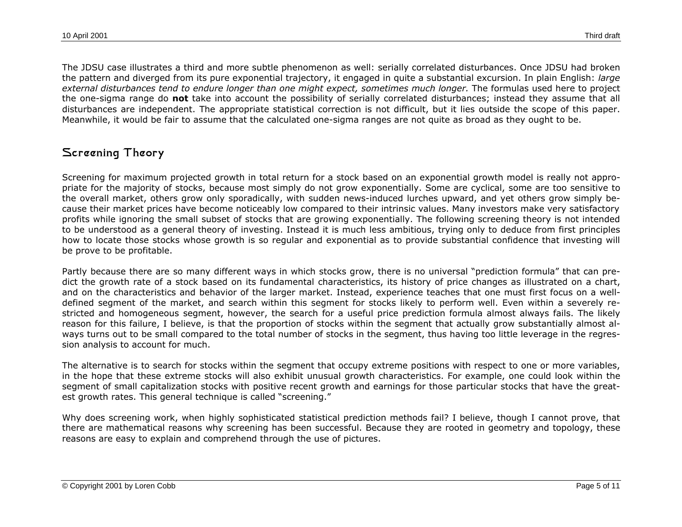The JDSU case illustrates a third and more subtle phenomenon as well: serially correlated disturbances. Once JDSU had broken the pattern and diverged from its pure exponential trajectory, it engaged in quite a substantial excursion. In plain English: *large external disturbances tend to endure longer than one might expect, sometimes much longer.* The formulas used here to project the one-sigma range do **not** take into account the possibility of serially correlated disturbances; instead they assume that all disturbances are independent. The appropriate statistical correction is not difficult, but it lies outside the scope of this paper. Meanwhile, it would be fair to assume that the calculated one-sigma ranges are not quite as broad as they ought to be.

# **Screening Theory**

Screening for maximum projected growth in total return for a stock based on an exponential growth model is really not appropriate for the majority of stocks, because most simply do not grow exponentially. Some are cyclical, some are too sensitive to the overall market, others grow only sporadically, with sudden news-induced lurches upward, and yet others grow simply because their market prices have become noticeably low compared to their intrinsic values. Many investors make very satisfactory profits while ignoring the small subset of stocks that are growing exponentially. The following screening theory is not intended to be understood as a general theory of investing. Instead it is much less ambitious, trying only to deduce from first principles how to locate those stocks whose growth is so regular and exponential as to provide substantial confidence that investing will be prove to be profitable.

Partly because there are so many different ways in which stocks grow, there is no universal "prediction formula" that can predict the growth rate of a stock based on its fundamental characteristics, its history of price changes as illustrated on a chart, and on the characteristics and behavior of the larger market. Instead, experience teaches that one must first focus on a welldefined segment of the market, and search within this segment for stocks likely to perform well. Even within a severely restricted and homogeneous segment, however, the search for a useful price prediction formula almost always fails. The likely reason for this failure, I believe, is that the proportion of stocks within the segment that actually grow substantially almost always turns out to be small compared to the total number of stocks in the segment, thus having too little leverage in the regression analysis to account for much.

The alternative is to search for stocks within the segment that occupy extreme positions with respect to one or more variables, in the hope that these extreme stocks will also exhibit unusual growth characteristics. For example, one could look within the segment of small capitalization stocks with positive recent growth and earnings for those particular stocks that have the greatest growth rates. This general technique is called "screening."

Why does screening work, when highly sophisticated statistical prediction methods fail? I believe, though I cannot prove, that there are mathematical reasons why screening has been successful. Because they are rooted in geometry and topology, these reasons are easy to explain and comprehend through the use of pictures.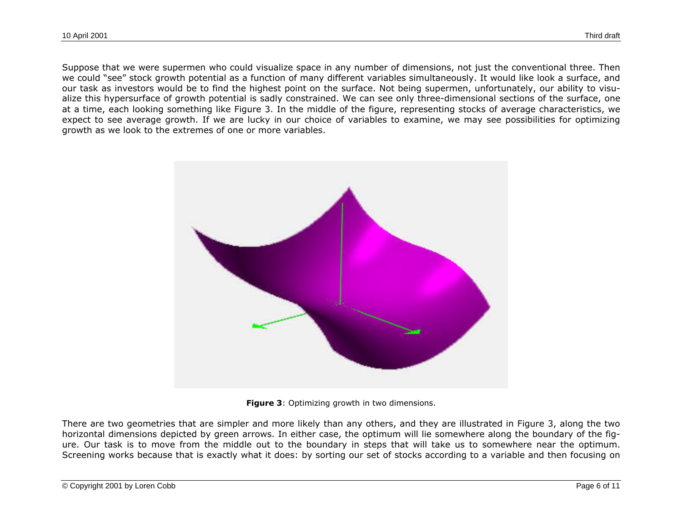Suppose that we were supermen who could visualize space in any number of dimensions, not just the conventional three. Then we could "see" stock growth potential as a function of many different variables simultaneously. It would like look a surface, and our task as investors would be to find the highest point on the surface. Not being supermen, unfortunately, our ability to visualize this hypersurface of growth potential is sadly constrained. We can see only three-dimensional sections of the surface, one at a time, each looking something like Figure 3. In the middle of the figure, representing stocks of average characteristics, we expect to see average growth. If we are lucky in our choice of variables to examine, we may see possibilities for optimizing growth as we look to the extremes of one or more variables.



**Figure 3**: Optimizing growth in two dimensions.

There are two geometries that are simpler and more likely than any others, and they are illustrated in Figure 3, along the two horizontal dimensions depicted by green arrows. In either case, the optimum will lie somewhere along the boundary of the figure. Our task is to move from the middle out to the boundary in steps that will take us to somewhere near the optimum. Screening works because that is exactly what it does: by sorting our set of stocks according to a variable and then focusing on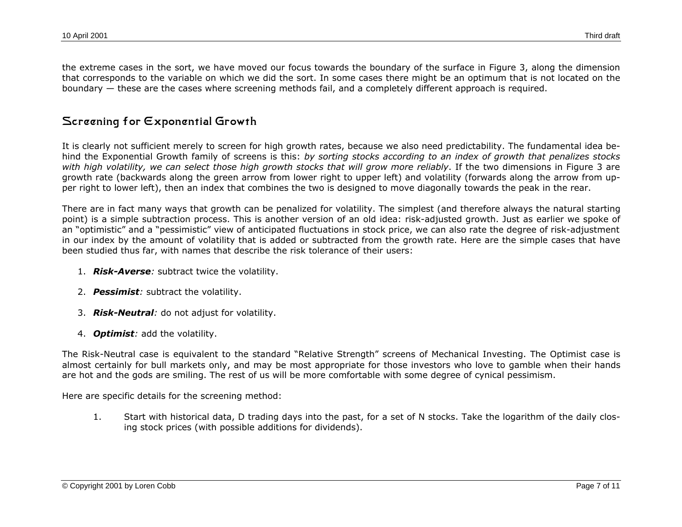the extreme cases in the sort, we have moved our focus towards the boundary of the surface in Figure 3, along the dimension that corresponds to the variable on which we did the sort. In some cases there might be an optimum that is not located on the boundary — these are the cases where screening methods fail, and a completely different approach is required.

# **Screening for Exponential Growth**

It is clearly not sufficient merely to screen for high growth rates, because we also need predictability. The fundamental idea behind the Exponential Growth family of screens is this: *by sorting stocks according to an index of growth that penalizes stocks with high volatility, we can select those high growth stocks that will grow more reliably*. If the two dimensions in Figure 3 are growth rate (backwards along the green arrow from lower right to upper left) and volatility (forwards along the arrow from upper right to lower left), then an index that combines the two is designed to move diagonally towards the peak in the rear.

There are in fact many ways that growth can be penalized for volatility. The simplest (and therefore always the natural starting point) is a simple subtraction process. This is another version of an old idea: risk-adjusted growth. Just as earlier we spoke of an "optimistic" and a "pessimistic" view of anticipated fluctuations in stock price, we can also rate the degree of risk-adjustment in our index by the amount of volatility that is added or subtracted from the growth rate. Here are the simple cases that have been studied thus far, with names that describe the risk tolerance of their users:

- 1. *Risk-Averse:* subtract twice the volatility.
- 2. *Pessimist:* subtract the volatility.
- 3. *Risk-Neutral:* do not adjust for volatility.
- 4. *Optimist:* add the volatility.

The Risk-Neutral case is equivalent to the standard "Relative Strength" screens of Mechanical Investing. The Optimist case is almost certainly for bull markets only, and may be most appropriate for those investors who love to gamble when their hands are hot and the gods are smiling. The rest of us will be more comfortable with some degree of cynical pessimism.

Here are specific details for the screening method:

1. Start with historical data, D trading days into the past, for a set of N stocks. Take the logarithm of the daily closing stock prices (with possible additions for dividends).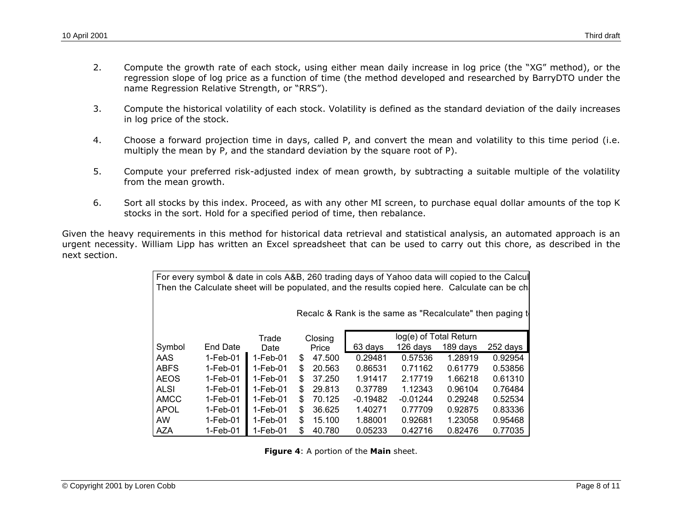- 2. Compute the growth rate of each stock, using either mean daily increase in log price (the "XG" method), or the regression slope of log price as a function of time (the method developed and researched by BarryDTO under the name Regression Relative Strength, or "RRS").
- 3. Compute the historical volatility of each stock. Volatility is defined as the standard deviation of the daily increases in log price of the stock.
- 4. Choose a forward projection time in days, called P, and convert the mean and volatility to this time period (i.e. multiply the mean by P, and the standard deviation by the square root of P).
- 5. Compute your preferred risk-adjusted index of mean growth, by subtracting a suitable multiple of the volatility from the mean growth.
- 6. Sort all stocks by this index. Proceed, as with any other MI screen, to purchase equal dollar amounts of the top K stocks in the sort. Hold for a specified period of time, then rebalance.

Given the heavy requirements in this method for historical data retrieval and statistical analysis, an automated approach is an urgent necessity. William Lipp has written an Excel spreadsheet that can be used to carry out this chore, as described in the next section.

| For every symbol & date in cols A&B, 260 trading days of Yahoo data will copied to the Calcul<br>Then the Calculate sheet will be populated, and the results copied here. Calculate can be ch |            |          |                                   |        |            |            |          |          |  |
|-----------------------------------------------------------------------------------------------------------------------------------------------------------------------------------------------|------------|----------|-----------------------------------|--------|------------|------------|----------|----------|--|
| Recalc & Rank is the same as "Recalculate" then paging to                                                                                                                                     |            |          |                                   |        |            |            |          |          |  |
|                                                                                                                                                                                               |            | Trade    | log(e) of Total Return<br>Closing |        |            |            |          |          |  |
| Symbol                                                                                                                                                                                        | End Date   | Date     |                                   | Price  | 63 days    | 126 days   | 189 days | 252 days |  |
| AAS.                                                                                                                                                                                          | $1-Feb-01$ | 1-Feb-01 | S.                                | 47.500 | 0.29481    | 0.57536    | 1.28919  | 0.92954  |  |
| <b>ABFS</b>                                                                                                                                                                                   | $1-Feb-01$ | 1-Feb-01 | \$.                               | 20.563 | 0.86531    | 0.71162    | 0.61779  | 0.53856  |  |
| <b>AEOS</b>                                                                                                                                                                                   | $1-Feb-01$ | 1-Feb-01 | \$.                               | 37.250 | 1.91417    | 2.17719    | 1.66218  | 0.61310  |  |
| <b>ALSI</b>                                                                                                                                                                                   | 1-Feb-01   | 1-Feb-01 | S.                                | 29.813 | 0.37789    | 1.12343    | 0.96104  | 0.76484  |  |
| AMCC                                                                                                                                                                                          | 1-Feb-01   | 1-Feb-01 | \$.                               | 70.125 | $-0.19482$ | $-0.01244$ | 0.29248  | 0.52534  |  |
| <b>APOL</b>                                                                                                                                                                                   | $1-Feb-01$ | 1-Feb-01 | \$.                               | 36.625 | 1.40271    | 0.77709    | 0.92875  | 0.83336  |  |
| AW.                                                                                                                                                                                           | 1-Feb-01   | 1-Feb-01 | S.                                | 15.100 | 1.88001    | 0.92681    | 1.23058  | 0.95468  |  |
| AZA                                                                                                                                                                                           | 1-Feb-01   | 1-Feb-01 | \$.                               | 40.780 | 0.05233    | 0.42716    | 0.82476  | 0.77035  |  |

**Figure 4**: A portion of the **Main** sheet.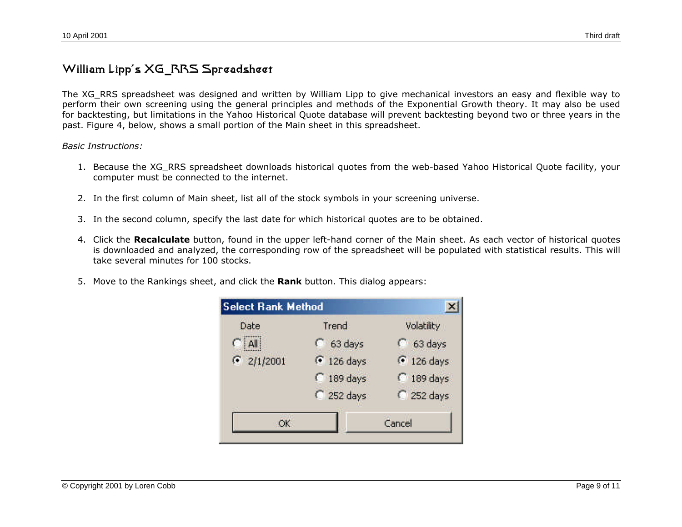### **William Lipp's XG\_RRS Spreadsheet**

The XG\_RRS spreadsheet was designed and written by William Lipp to give mechanical investors an easy and flexible way to perform their own screening using the general principles and methods of the Exponential Growth theory. It may also be used for backtesting, but limitations in the Yahoo Historical Quote database will prevent backtesting beyond two or three years in the past. Figure 4, below, shows a small portion of the Main sheet in this spreadsheet.

#### *Basic Instructions:*

- 1. Because the XG\_RRS spreadsheet downloads historical quotes from the web-based Yahoo Historical Quote facility, your computer must be connected to the internet.
- 2. In the first column of Main sheet, list all of the stock symbols in your screening universe.
- 3. In the second column, specify the last date for which historical quotes are to be obtained.
- 4. Click the **Recalculate** button, found in the upper left-hand corner of the Main sheet. As each vector of historical quotes is downloaded and analyzed, the corresponding row of the spreadsheet will be populated with statistical results. This will take several minutes for 100 stocks.
- 5. Move to the Rankings sheet, and click the **Rank** button. This dialog appears:

| <b>Select Rank Method</b> |                       |  |  |  |
|---------------------------|-----------------------|--|--|--|
| Trend                     | Volatility            |  |  |  |
| $C$ 63 days               | $C$ 63 days           |  |  |  |
| <sup>6</sup> 126 days     | <sup>6</sup> 126 days |  |  |  |
| $C$ 189 days              | $C$ 189 days          |  |  |  |
| 252 days                  | 252 days              |  |  |  |
|                           | Cancel                |  |  |  |
|                           |                       |  |  |  |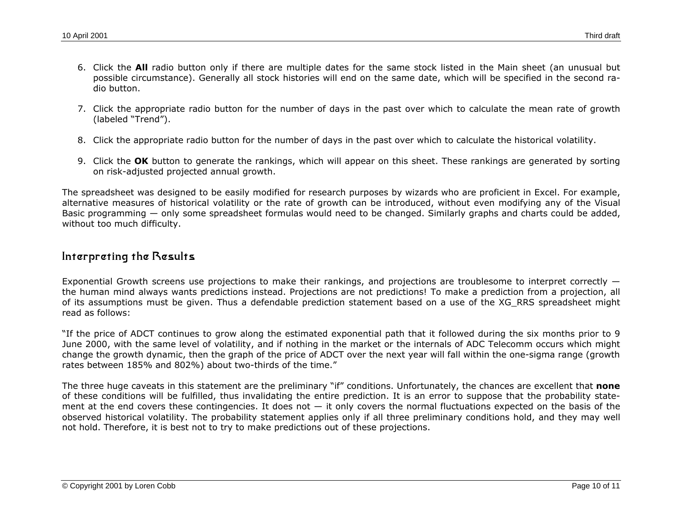- 6. Click the **All** radio button only if there are multiple dates for the same stock listed in the Main sheet (an unusual but possible circumstance). Generally all stock histories will end on the same date, which will be specified in the second radio button.
- 7. Click the appropriate radio button for the number of days in the past over which to calculate the mean rate of growth (labeled "Trend").
- 8. Click the appropriate radio button for the number of days in the past over which to calculate the historical volatility.
- 9. Click the **OK** button to generate the rankings, which will appear on this sheet. These rankings are generated by sorting on risk-adjusted projected annual growth.

The spreadsheet was designed to be easily modified for research purposes by wizards who are proficient in Excel. For example, alternative measures of historical volatility or the rate of growth can be introduced, without even modifying any of the Visual Basic programming — only some spreadsheet formulas would need to be changed. Similarly graphs and charts could be added, without too much difficulty.

#### **Interpreting the Results**

Exponential Growth screens use projections to make their rankings, and projections are troublesome to interpret correctly the human mind always wants predictions instead. Projections are not predictions! To make a prediction from a projection, all of its assumptions must be given. Thus a defendable prediction statement based on a use of the XG\_RRS spreadsheet might read as follows:

"If the price of ADCT continues to grow along the estimated exponential path that it followed during the six months prior to 9 June 2000, with the same level of volatility, and if nothing in the market or the internals of ADC Telecomm occurs which might change the growth dynamic, then the graph of the price of ADCT over the next year will fall within the one-sigma range (growth rates between 185% and 802%) about two-thirds of the time."

The three huge caveats in this statement are the preliminary "if" conditions. Unfortunately, the chances are excellent that **none** of these conditions will be fulfilled, thus invalidating the entire prediction. It is an error to suppose that the probability statement at the end covers these contingencies. It does not  $-$  it only covers the normal fluctuations expected on the basis of the observed historical volatility. The probability statement applies only if all three preliminary conditions hold, and they may well not hold. Therefore, it is best not to try to make predictions out of these projections.